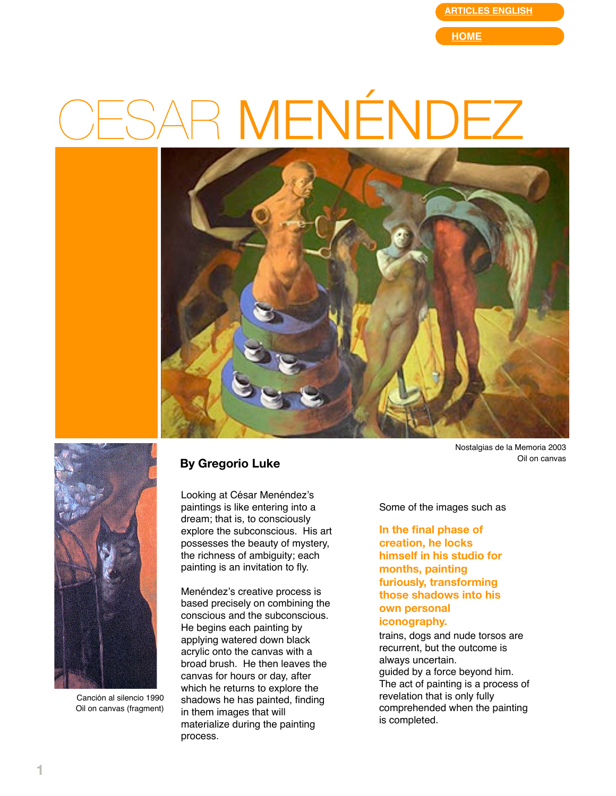**[ARTICLES ENGLISH](http://web.mac.com/gregorioluke/Site/Articles_in_English.html)**

**[HOME](http://web.mac.com/gregorioluke/Site/Home.html)**

## R MENÉNDEZ





Canción al silencio 1990 Oil on canvas (fragment)

## **By Gregorio Luke**

Looking at César Menéndez's paintings is like entering into a dream; that is, to consciously explore the subconscious. His art possesses the beauty of mystery, the richness of ambiguity; each painting is an invitation to fly.

Menéndez's creative process is based precisely on combining the conscious and the subconscious. He begins each painting by applying watered down black acrylic onto the canvas with a broad brush. He then leaves the canvas for hours or day, after which he returns to explore the shadows he has painted, finding in them images that will materialize during the painting process.

Nostalgias de la Memoria 2003 Oil on canvas

Some of the images such as

**In the final phase of creation, he locks himself in his studio for months, painting furiously, transforming those shadows into his own personal iconography.**

trains, dogs and nude torsos are recurrent, but the outcome is always uncertain. guided by a force beyond him. The act of painting is a process of revelation that is only fully comprehended when the painting is completed.